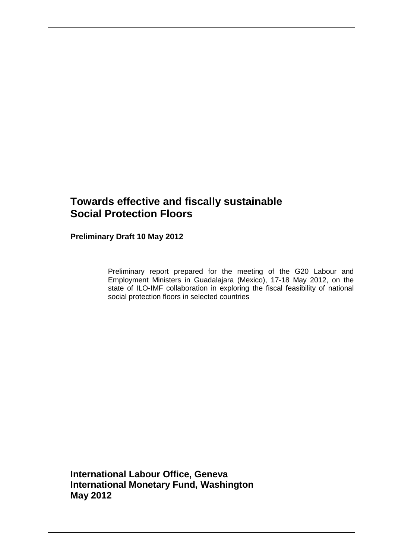# **Towards effective and fiscally sustainable Social Protection Floors**

**Preliminary Draft 10 May 2012** 

Preliminary report prepared for the meeting of the G20 Labour and Employment Ministers in Guadalajara (Mexico), 17-18 May 2012, on the state of ILO-IMF collaboration in exploring the fiscal feasibility of national social protection floors in selected countries

**International Labour Office, Geneva International Monetary Fund, Washington May 2012**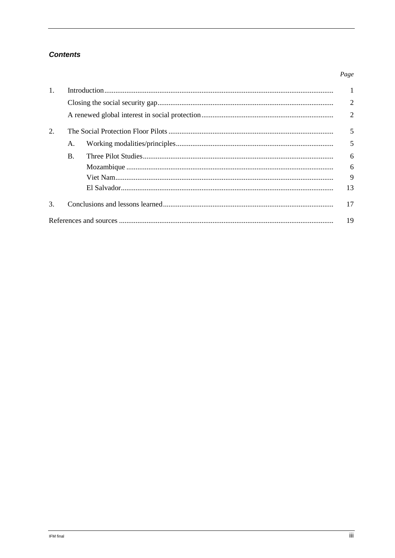## **Contents**

#### $1.$  $\mathbf{1}$  $\overline{2}$  $\overline{2}$  $\overline{2}$ . 5  $\mathbf{A}$ 5  $B<sub>1</sub>$ 6 6 9 13  $\overline{3}$ . 17 19

Page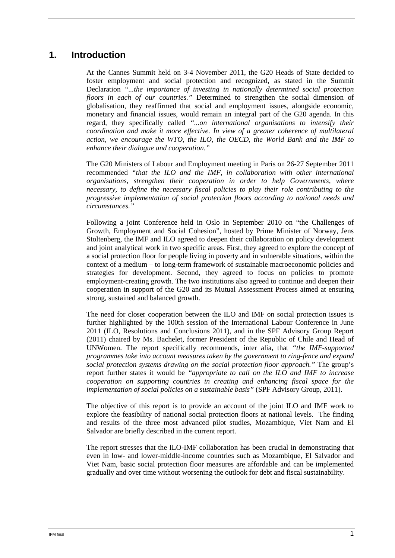# **1. Introduction**

At the Cannes Summit held on 3-4 November 2011, the G20 Heads of State decided to foster employment and social protection and recognized, as stated in the Summit Declaration *"...the importance of investing in nationally determined social protection floors in each of our countries."* Determined to strengthen the social dimension of globalisation, they reaffirmed that social and employment issues, alongside economic, monetary and financial issues, would remain an integral part of the G20 agenda. In this regard, they specifically called *"...on international organisations to intensify their coordination and make it more effective. In view of a greater coherence of multilateral action, we encourage the WTO, the ILO, the OECD, the World Bank and the IMF to enhance their dialogue and cooperation."* 

The G20 Ministers of Labour and Employment meeting in Paris on 26-27 September 2011 recommended *"that the ILO and the IMF, in collaboration with other international organisations, strengthen their cooperation in order to help Governments, where necessary, to define the necessary fiscal policies to play their role contributing to the progressive implementation of social protection floors according to national needs and circumstances."*

Following a joint Conference held in Oslo in September 2010 on "the Challenges of Growth, Employment and Social Cohesion", hosted by Prime Minister of Norway, Jens Stoltenberg, the IMF and ILO agreed to deepen their collaboration on policy development and joint analytical work in two specific areas. First, they agreed to explore the concept of a social protection floor for people living in poverty and in vulnerable situations, within the context of a medium – to long-term framework of sustainable macroeconomic policies and strategies for development. Second, they agreed to focus on policies to promote employment-creating growth. The two institutions also agreed to continue and deepen their cooperation in support of the G20 and its Mutual Assessment Process aimed at ensuring strong, sustained and balanced growth.

The need for closer cooperation between the ILO and IMF on social protection issues is further highlighted by the 100th session of the International Labour Conference in June 2011 (ILO, Resolutions and Conclusions 2011), and in the SPF Advisory Group Report (2011) chaired by Ms. Bachelet, former President of the Republic of Chile and Head of UNWomen. The report specifically recommends, inter alia, that *"the IMF-supported programmes take into account measures taken by the government to ring-fence and expand social protection systems drawing on the social protection floor approach."* The group's report further states it would be *"appropriate to call on the ILO and IMF to increase cooperation on supporting countries in creating and enhancing fiscal space for the implementation of social policies on a sustainable basis"* (SPF Advisory Group, 2011).

The objective of this report is to provide an account of the joint ILO and IMF work to explore the feasibility of national social protection floors at national levels. The finding and results of the three most advanced pilot studies, Mozambique, Viet Nam and El Salvador are briefly described in the current report.

The report stresses that the ILO-IMF collaboration has been crucial in demonstrating that even in low- and lower-middle-income countries such as Mozambique, El Salvador and Viet Nam, basic social protection floor measures are affordable and can be implemented gradually and over time without worsening the outlook for debt and fiscal sustainability.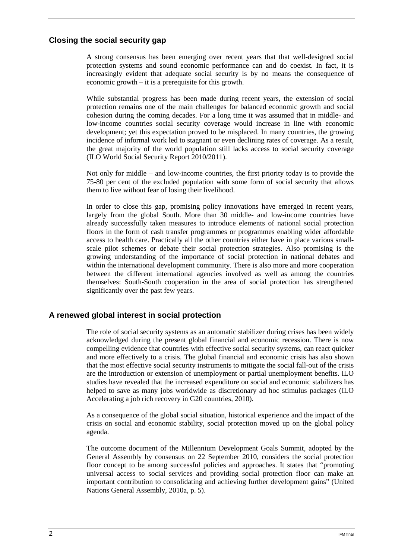### **Closing the social security gap**

A strong consensus has been emerging over recent years that that well-designed social protection systems and sound economic performance can and do coexist. In fact, it is increasingly evident that adequate social security is by no means the consequence of economic growth – it is a prerequisite for this growth.

While substantial progress has been made during recent years, the extension of social protection remains one of the main challenges for balanced economic growth and social cohesion during the coming decades. For a long time it was assumed that in middle- and low-income countries social security coverage would increase in line with economic development; yet this expectation proved to be misplaced. In many countries, the growing incidence of informal work led to stagnant or even declining rates of coverage. As a result, the great majority of the world population still lacks access to social security coverage (ILO World Social Security Report 2010/2011).

Not only for middle – and low-income countries, the first priority today is to provide the 75-80 per cent of the excluded population with some form of social security that allows them to live without fear of losing their livelihood.

In order to close this gap, promising policy innovations have emerged in recent years, largely from the global South. More than 30 middle- and low-income countries have already successfully taken measures to introduce elements of national social protection floors in the form of cash transfer programmes or programmes enabling wider affordable access to health care. Practically all the other countries either have in place various smallscale pilot schemes or debate their social protection strategies. Also promising is the growing understanding of the importance of social protection in national debates and within the international development community. There is also more and more cooperation between the different international agencies involved as well as among the countries themselves: South-South cooperation in the area of social protection has strengthened significantly over the past few years.

### **A renewed global interest in social protection**

The role of social security systems as an automatic stabilizer during crises has been widely acknowledged during the present global financial and economic recession. There is now compelling evidence that countries with effective social security systems, can react quicker and more effectively to a crisis. The global financial and economic crisis has also shown that the most effective social security instruments to mitigate the social fall-out of the crisis are the introduction or extension of unemployment or partial unemployment benefits. ILO studies have revealed that the increased expenditure on social and economic stabilizers has helped to save as many jobs worldwide as discretionary ad hoc stimulus packages (ILO Accelerating a job rich recovery in G20 countries, 2010).

As a consequence of the global social situation, historical experience and the impact of the crisis on social and economic stability, social protection moved up on the global policy agenda.

The outcome document of the Millennium Development Goals Summit, adopted by the General Assembly by consensus on 22 September 2010, considers the social protection floor concept to be among successful policies and approaches. It states that "promoting universal access to social services and providing social protection floor can make an important contribution to consolidating and achieving further development gains" (United Nations General Assembly, 2010a, p. 5).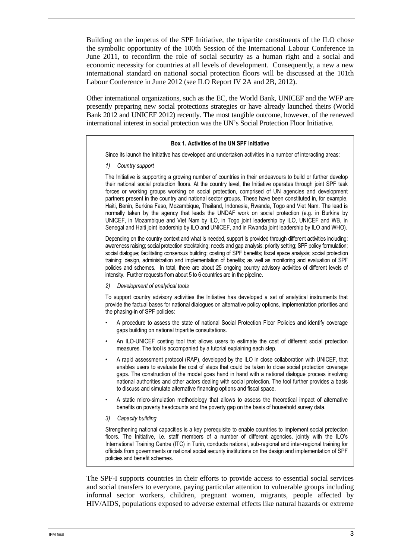Building on the impetus of the SPF Initiative, the tripartite constituents of the ILO chose the symbolic opportunity of the 100th Session of the International Labour Conference in June 2011, to reconfirm the role of social security as a human right and a social and economic necessity for countries at all levels of development. Consequently, a new a new international standard on national social protection floors will be discussed at the 101th Labour Conference in June 2012 (see ILO Report IV 2A and 2B, 2012).

Other international organizations, such as the EC, the World Bank, UNICEF and the WFP are presently preparing new social protections strategies or have already launched theirs (World Bank 2012 and UNICEF 2012) recently. The most tangible outcome, however, of the renewed international interest in social protection was the UN's Social Protection Floor Initiative.

#### **Box 1. Activities of the UN SPF Initiative**

Since its launch the Initiative has developed and undertaken activities in a number of interacting areas:

*1) Country support* 

The Initiative is supporting a growing number of countries in their endeavours to build or further develop their national social protection floors. At the country level, the Initiative operates through joint SPF task forces or working groups working on social protection, comprised of UN agencies and development partners present in the country and national sector groups. These have been constituted in, for example, Haiti, Benin, Burkina Faso, Mozambique, Thailand, Indonesia, Rwanda, Togo and Viet Nam. The lead is normally taken by the agency that leads the UNDAF work on social protection (e.g. in Burkina by UNICEF, in Mozambique and Viet Nam by ILO, in Togo joint leadership by ILO, UNICEF and WB, in Senegal and Haiti joint leadership by ILO and UNICEF, and in Rwanda joint leadership by ILO and WHO).

Depending on the country context and what is needed, support is provided through different activities including: awareness raising; social protection stocktaking; needs and gap analysis; priority setting; SPF policy formulation; social dialogue; facilitating consensus building; costing of SPF benefits; fiscal space analysis; social protection training; design, administration and implementation of benefits; as well as monitoring and evaluation of SPF policies and schemes. In total, there are about 25 ongoing country advisory activities of different levels of intensity. Further requests from about 5 to 6 countries are in the pipeline.

*2) Development of analytical tools* 

To support country advisory activities the Initiative has developed a set of analytical instruments that provide the factual bases for national dialogues on alternative policy options, implementation priorities and the phasing-in of SPF policies:

- A procedure to assess the state of national Social Protection Floor Policies and identify coverage gaps building on national tripartite consultations.
- An ILO-UNICEF costing tool that allows users to estimate the cost of different social protection measures. The tool is accompanied by a tutorial explaining each step.
- A rapid assessment protocol (RAP), developed by the ILO in close collaboration with UNICEF, that enables users to evaluate the cost of steps that could be taken to close social protection coverage gaps. The construction of the model goes hand in hand with a national dialogue process involving national authorities and other actors dealing with social protection. The tool further provides a basis to discuss and simulate alternative financing options and fiscal space.
- A static micro-simulation methodology that allows to assess the theoretical impact of alternative benefits on poverty headcounts and the poverty gap on the basis of household survey data.
- *3) Capacity building*

Strengthening national capacities is a key prerequisite to enable countries to implement social protection floors. The Initiative, i.e. staff members of a number of different agencies, jointly with the ILO's International Training Centre (ITC) in Turin, conducts national, sub-regional and inter-regional training for officials from governments or national social security institutions on the design and implementation of SPF policies and benefit schemes.

The SPF-I supports countries in their efforts to provide access to essential social services and social transfers to everyone, paying particular attention to vulnerable groups including informal sector workers, children, pregnant women, migrants, people affected by HIV/AIDS, populations exposed to adverse external effects like natural hazards or extreme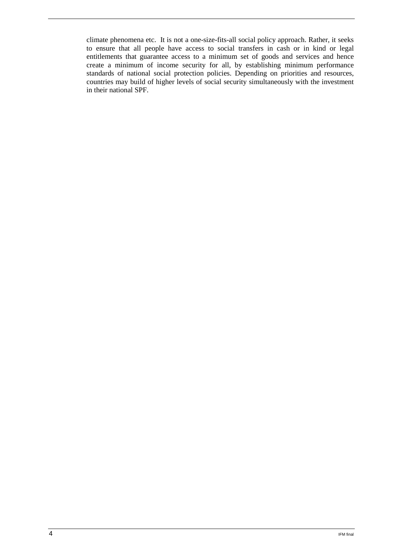climate phenomena etc. It is not a one-size-fits-all social policy approach. Rather, it seeks to ensure that all people have access to social transfers in cash or in kind or legal entitlements that guarantee access to a minimum set of goods and services and hence create a minimum of income security for all, by establishing minimum performance standards of national social protection policies. Depending on priorities and resources, countries may build of higher levels of social security simultaneously with the investment in their national SPF.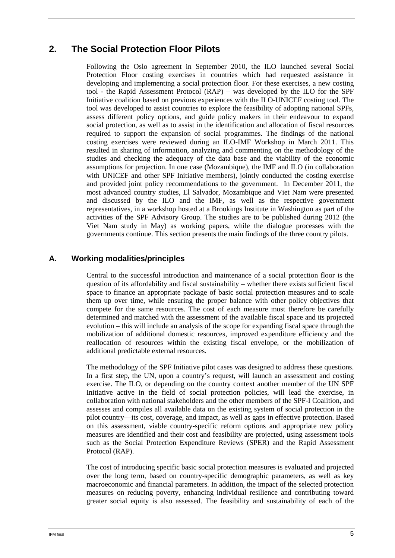# **2. The Social Protection Floor Pilots**

Following the Oslo agreement in September 2010, the ILO launched several Social Protection Floor costing exercises in countries which had requested assistance in developing and implementing a social protection floor. For these exercises, a new costing tool - the Rapid Assessment Protocol (RAP) – was developed by the ILO for the SPF Initiative coalition based on previous experiences with the ILO-UNICEF costing tool. The tool was developed to assist countries to explore the feasibility of adopting national SPFs, assess different policy options, and guide policy makers in their endeavour to expand social protection, as well as to assist in the identification and allocation of fiscal resources required to support the expansion of social programmes. The findings of the national costing exercises were reviewed during an ILO-IMF Workshop in March 2011. This resulted in sharing of information, analyzing and commenting on the methodology of the studies and checking the adequacy of the data base and the viability of the economic assumptions for projection. In one case (Mozambique), the IMF and ILO (in collaboration with UNICEF and other SPF Initiative members), jointly conducted the costing exercise and provided joint policy recommendations to the government. In December 2011, the most advanced country studies, El Salvador, Mozambique and Viet Nam were presented and discussed by the ILO and the IMF, as well as the respective government representatives, in a workshop hosted at a Brookings Institute in Washington as part of the activities of the SPF Advisory Group. The studies are to be published during 2012 (the Viet Nam study in May) as working papers, while the dialogue processes with the governments continue. This section presents the main findings of the three country pilots.

## **A. Working modalities/principles**

Central to the successful introduction and maintenance of a social protection floor is the question of its affordability and fiscal sustainability – whether there exists sufficient fiscal space to finance an appropriate package of basic social protection measures and to scale them up over time, while ensuring the proper balance with other policy objectives that compete for the same resources. The cost of each measure must therefore be carefully determined and matched with the assessment of the available fiscal space and its projected evolution – this will include an analysis of the scope for expanding fiscal space through the mobilization of additional domestic resources, improved expenditure efficiency and the reallocation of resources within the existing fiscal envelope, or the mobilization of additional predictable external resources.

The methodology of the SPF Initiative pilot cases was designed to address these questions. In a first step, the UN, upon a country's request, will launch an assessment and costing exercise. The ILO, or depending on the country context another member of the UN SPF Initiative active in the field of social protection policies, will lead the exercise, in collaboration with national stakeholders and the other members of the SPF-I Coalition, and assesses and compiles all available data on the existing system of social protection in the pilot country—its cost, coverage, and impact, as well as gaps in effective protection. Based on this assessment, viable country-specific reform options and appropriate new policy measures are identified and their cost and feasibility are projected, using assessment tools such as the Social Protection Expenditure Reviews (SPER) and the Rapid Assessment Protocol (RAP).

The cost of introducing specific basic social protection measures is evaluated and projected over the long term, based on country-specific demographic parameters, as well as key macroeconomic and financial parameters. In addition, the impact of the selected protection measures on reducing poverty, enhancing individual resilience and contributing toward greater social equity is also assessed. The feasibility and sustainability of each of the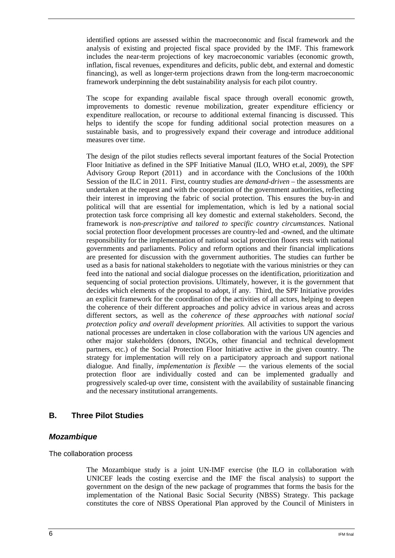identified options are assessed within the macroeconomic and fiscal framework and the analysis of existing and projected fiscal space provided by the IMF. This framework includes the near-term projections of key macroeconomic variables (economic growth, inflation, fiscal revenues, expenditures and deficits, public debt, and external and domestic financing), as well as longer-term projections drawn from the long-term macroeconomic framework underpinning the debt sustainability analysis for each pilot country.

The scope for expanding available fiscal space through overall economic growth, improvements to domestic revenue mobilization, greater expenditure efficiency or expenditure reallocation, or recourse to additional external financing is discussed. This helps to identify the scope for funding additional social protection measures on a sustainable basis, and to progressively expand their coverage and introduce additional measures over time.

The design of the pilot studies reflects several important features of the Social Protection Floor Initiative as defined in the SPF Initiative Manual (ILO, WHO et.al, 2009), the SPF Advisory Group Report (2011) and in accordance with the Conclusions of the 100th Session of the ILC in 2011. First, country studies are *demand-driven* – the assessments are undertaken at the request and with the cooperation of the government authorities, reflecting their interest in improving the fabric of social protection. This ensures the buy-in and political will that are essential for implementation, which is led by a national social protection task force comprising all key domestic and external stakeholders. Second, the framework is *non-prescriptive and tailored to specific country circumstances*. National social protection floor development processes are country-led and -owned, and the ultimate responsibility for the implementation of national social protection floors rests with national governments and parliaments. Policy and reform options and their financial implications are presented for discussion with the government authorities. The studies can further be used as a basis for national stakeholders to negotiate with the various ministries or they can feed into the national and social dialogue processes on the identification, prioritization and sequencing of social protection provisions. Ultimately, however, it is the government that decides which elements of the proposal to adopt, if any. Third, the SPF Initiative provides an explicit framework for the coordination of the activities of all actors, helping to deepen the coherence of their different approaches and policy advice in various areas and across different sectors, as well as the *coherence of these approaches with national social protection policy and overall development priorities.* All activities to support the various national processes are undertaken in close collaboration with the various UN agencies and other major stakeholders (donors, INGOs, other financial and technical development partners, etc.) of the Social Protection Floor Initiative active in the given country. The strategy for implementation will rely on a participatory approach and support national dialogue. And finally, *implementation is flexible* — the various elements of the social protection floor are individually costed and can be implemented gradually and progressively scaled-up over time, consistent with the availability of sustainable financing and the necessary institutional arrangements.

## **B. Three Pilot Studies**

### **Mozambique**

The collaboration process

The Mozambique study is a joint UN-IMF exercise (the ILO in collaboration with UNICEF leads the costing exercise and the IMF the fiscal analysis) to support the government on the design of the new package of programmes that forms the basis for the implementation of the National Basic Social Security (NBSS) Strategy. This package constitutes the core of NBSS Operational Plan approved by the Council of Ministers in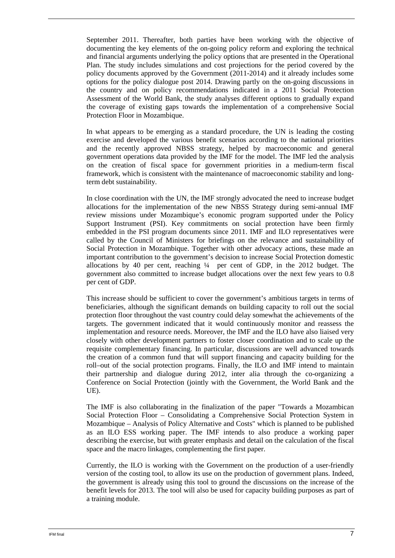September 2011. Thereafter, both parties have been working with the objective of documenting the key elements of the on-going policy reform and exploring the technical and financial arguments underlying the policy options that are presented in the Operational Plan. The study includes simulations and cost projections for the period covered by the policy documents approved by the Government (2011-2014) and it already includes some options for the policy dialogue post 2014. Drawing partly on the on-going discussions in the country and on policy recommendations indicated in a 2011 Social Protection Assessment of the World Bank, the study analyses different options to gradually expand the coverage of existing gaps towards the implementation of a comprehensive Social Protection Floor in Mozambique.

In what appears to be emerging as a standard procedure, the UN is leading the costing exercise and developed the various benefit scenarios according to the national priorities and the recently approved NBSS strategy, helped by macroeconomic and general government operations data provided by the IMF for the model. The IMF led the analysis on the creation of fiscal space for government priorities in a medium-term fiscal framework, which is consistent with the maintenance of macroeconomic stability and longterm debt sustainability.

In close coordination with the UN, the IMF strongly advocated the need to increase budget allocations for the implementation of the new NBSS Strategy during semi-annual IMF review missions under Mozambique's economic program supported under the Policy Support Instrument (PSI). Key commitments on social protection have been firmly embedded in the PSI program documents since 2011. IMF and ILO representatives were called by the Council of Ministers for briefings on the relevance and sustainability of Social Protection in Mozambique. Together with other advocacy actions, these made an important contribution to the government's decision to increase Social Protection domestic allocations by 40 per cent, reaching ¼ per cent of GDP, in the 2012 budget. The government also committed to increase budget allocations over the next few years to 0.8 per cent of GDP.

This increase should be sufficient to cover the government's ambitious targets in terms of beneficiaries, although the significant demands on building capacity to roll out the social protection floor throughout the vast country could delay somewhat the achievements of the targets. The government indicated that it would continuously monitor and reassess the implementation and resource needs. Moreover, the IMF and the ILO have also liaised very closely with other development partners to foster closer coordination and to scale up the requisite complementary financing. In particular, discussions are well advanced towards the creation of a common fund that will support financing and capacity building for the roll–out of the social protection programs. Finally, the ILO and IMF intend to maintain their partnership and dialogue during 2012, inter alia through the co-organizing a Conference on Social Protection (jointly with the Government, the World Bank and the UE).

The IMF is also collaborating in the finalization of the paper "Towards a Mozambican Social Protection Floor – Consolidating a Comprehensive Social Protection System in Mozambique – Analysis of Policy Alternative and Costs" which is planned to be published as an ILO ESS working paper. The IMF intends to also produce a working paper describing the exercise, but with greater emphasis and detail on the calculation of the fiscal space and the macro linkages, complementing the first paper.

Currently, the ILO is working with the Government on the production of a user-friendly version of the costing tool, to allow its use on the production of government plans. Indeed, the government is already using this tool to ground the discussions on the increase of the benefit levels for 2013. The tool will also be used for capacity building purposes as part of a training module.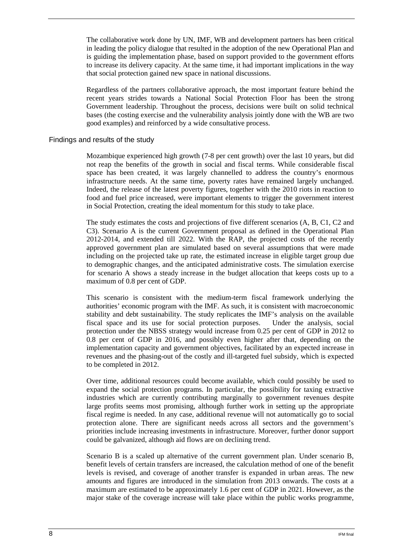The collaborative work done by UN, IMF, WB and development partners has been critical in leading the policy dialogue that resulted in the adoption of the new Operational Plan and is guiding the implementation phase, based on support provided to the government efforts to increase its delivery capacity. At the same time, it had important implications in the way that social protection gained new space in national discussions.

Regardless of the partners collaborative approach, the most important feature behind the recent years strides towards a National Social Protection Floor has been the strong Government leadership. Throughout the process, decisions were built on solid technical bases (the costing exercise and the vulnerability analysis jointly done with the WB are two good examples) and reinforced by a wide consultative process.

#### Findings and results of the study

Mozambique experienced high growth (7-8 per cent growth) over the last 10 years, but did not reap the benefits of the growth in social and fiscal terms. While considerable fiscal space has been created, it was largely channelled to address the country's enormous infrastructure needs. At the same time, poverty rates have remained largely unchanged. Indeed, the release of the latest poverty figures, together with the 2010 riots in reaction to food and fuel price increased, were important elements to trigger the government interest in Social Protection, creating the ideal momentum for this study to take place.

The study estimates the costs and projections of five different scenarios (A, B, C1, C2 and C3). Scenario A is the current Government proposal as defined in the Operational Plan 2012-2014, and extended till 2022. With the RAP, the projected costs of the recently approved government plan are simulated based on several assumptions that were made including on the projected take up rate, the estimated increase in eligible target group due to demographic changes, and the anticipated administrative costs. The simulation exercise for scenario A shows a steady increase in the budget allocation that keeps costs up to a maximum of 0.8 per cent of GDP.

This scenario is consistent with the medium-term fiscal framework underlying the authorities' economic program with the IMF. As such, it is consistent with macroeconomic stability and debt sustainability. The study replicates the IMF's analysis on the available fiscal space and its use for social protection purposes. Under the analysis, social protection under the NBSS strategy would increase from 0.25 per cent of GDP in 2012 to 0.8 per cent of GDP in 2016, and possibly even higher after that, depending on the implementation capacity and government objectives, facilitated by an expected increase in revenues and the phasing-out of the costly and ill-targeted fuel subsidy, which is expected to be completed in 2012.

Over time, additional resources could become available, which could possibly be used to expand the social protection programs. In particular, the possibility for taxing extractive industries which are currently contributing marginally to government revenues despite large profits seems most promising, although further work in setting up the appropriate fiscal regime is needed. In any case, additional revenue will not automatically go to social protection alone. There are significant needs across all sectors and the government's priorities include increasing investments in infrastructure. Moreover, further donor support could be galvanized, although aid flows are on declining trend.

Scenario B is a scaled up alternative of the current government plan. Under scenario B, benefit levels of certain transfers are increased, the calculation method of one of the benefit levels is revised, and coverage of another transfer is expanded in urban areas. The new amounts and figures are introduced in the simulation from 2013 onwards. The costs at a maximum are estimated to be approximately 1.6 per cent of GDP in 2021. However, as the major stake of the coverage increase will take place within the public works programme,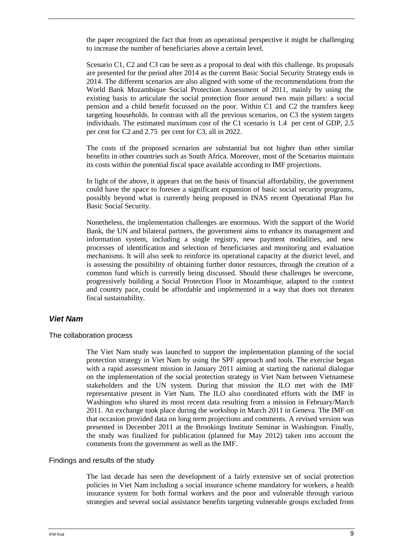the paper recognized the fact that from an operational perspective it might be challenging to increase the number of beneficiaries above a certain level.

Scenario C1, C2 and C3 can be seen as a proposal to deal with this challenge. Its proposals are presented for the period after 2014 as the current Basic Social Security Strategy ends in 2014. The different scenarios are also aligned with some of the recommendations from the World Bank Mozambique Social Protection Assessment of 2011, mainly by using the existing basis to articulate the social protection floor around two main pillars: a social pension and a child benefit focussed on the poor. Within C1 and C2 the transfers keep targeting households. In contrast with all the previous scenarios, on C3 the system targets individuals. The estimated maximum cost of the C1 scenario is 1.4 per cent of GDP, 2.5 per cent for C2 and 2.75 per cent for C3, all in 2022.

The costs of the proposed scenarios are substantial but not higher than other similar benefits in other countries such as South Africa. Moreover, most of the Scenarios maintain its costs within the potential fiscal space available according to IMF projections.

In light of the above, it appears that on the basis of financial affordability, the government could have the space to foresee a significant expansion of basic social security programs, possibly beyond what is currently being proposed in INAS recent Operational Plan for Basic Social Security.

Nonetheless, the implementation challenges are enormous. With the support of the World Bank, the UN and bilateral partners, the government aims to enhance its management and information system, including a single registry, new payment modalities, and new processes of identification and selection of beneficiaries and monitoring and evaluation mechanisms. It will also seek to reinforce its operational capacity at the district level, and is assessing the possibility of obtaining further donor resources, through the creation of a common fund which is currently being discussed. Should these challenges be overcome, progressively building a Social Protection Floor in Mozambique, adapted to the context and country pace, could be affordable and implemented in a way that does not threaten fiscal sustainability.

### **Viet Nam**

#### The collaboration process

The Viet Nam study was launched to support the implementation planning of the social protection strategy in Viet Nam by using the SPF approach and tools. The exercise began with a rapid assessment mission in January 2011 aiming at starting the national dialogue on the implementation of the social protection strategy in Viet Nam between Vietnamese stakeholders and the UN system. During that mission the ILO met with the IMF representative present in Viet Nam. The ILO also coordinated efforts with the IMF in Washington who shared its most recent data resulting from a mission in February/March 2011. An exchange took place during the workshop in March 2011 in Geneva. The IMF on that occasion provided data on long term projections and comments. A revised version was presented in December 2011 at the Brookings Institute Seminar in Washington. Finally, the study was finalized for publication (planned for May 2012) taken into account the comments from the government as well as the IMF.

#### Findings and results of the study

The last decade has seen the development of a fairly extensive set of social protection policies in Viet Nam including a social insurance scheme mandatory for workers, a health insurance system for both formal workers and the poor and vulnerable through various strategies and several social assistance benefits targeting vulnerable groups excluded from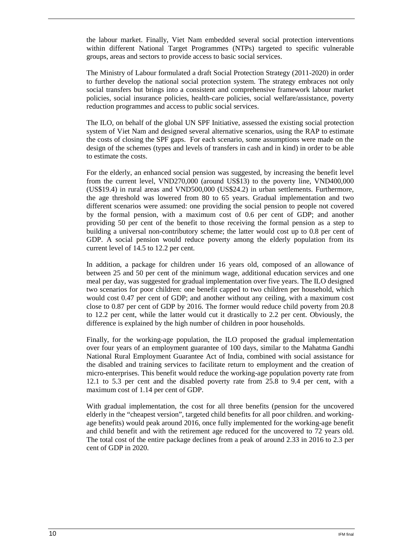the labour market. Finally, Viet Nam embedded several social protection interventions within different National Target Programmes (NTPs) targeted to specific vulnerable groups, areas and sectors to provide access to basic social services.

The Ministry of Labour formulated a draft Social Protection Strategy (2011-2020) in order to further develop the national social protection system. The strategy embraces not only social transfers but brings into a consistent and comprehensive framework labour market policies, social insurance policies, health-care policies, social welfare/assistance, poverty reduction programmes and access to public social services.

The ILO, on behalf of the global UN SPF Initiative, assessed the existing social protection system of Viet Nam and designed several alternative scenarios, using the RAP to estimate the costs of closing the SPF gaps. For each scenario, some assumptions were made on the design of the schemes (types and levels of transfers in cash and in kind) in order to be able to estimate the costs.

For the elderly, an enhanced social pension was suggested, by increasing the benefit level from the current level, VND270,000 (around US\$13) to the poverty line, VND400,000 (US\$19.4) in rural areas and VND500,000 (US\$24.2) in urban settlements. Furthermore, the age threshold was lowered from 80 to 65 years. Gradual implementation and two different scenarios were assumed: one providing the social pension to people not covered by the formal pension, with a maximum cost of 0.6 per cent of GDP; and another providing 50 per cent of the benefit to those receiving the formal pension as a step to building a universal non-contributory scheme; the latter would cost up to 0.8 per cent of GDP. A social pension would reduce poverty among the elderly population from its current level of 14.5 to 12.2 per cent.

In addition, a package for children under 16 years old, composed of an allowance of between 25 and 50 per cent of the minimum wage, additional education services and one meal per day, was suggested for gradual implementation over five years. The ILO designed two scenarios for poor children: one benefit capped to two children per household, which would cost 0.47 per cent of GDP; and another without any ceiling, with a maximum cost close to 0.87 per cent of GDP by 2016. The former would reduce child poverty from 20.8 to 12.2 per cent, while the latter would cut it drastically to 2.2 per cent. Obviously, the difference is explained by the high number of children in poor households.

Finally, for the working-age population, the ILO proposed the gradual implementation over four years of an employment guarantee of 100 days, similar to the Mahatma Gandhi National Rural Employment Guarantee Act of India, combined with social assistance for the disabled and training services to facilitate return to employment and the creation of micro-enterprises. This benefit would reduce the working-age population poverty rate from 12.1 to 5.3 per cent and the disabled poverty rate from 25.8 to 9.4 per cent, with a maximum cost of 1.14 per cent of GDP.

With gradual implementation, the cost for all three benefits (pension for the uncovered elderly in the "cheapest version", targeted child benefits for all poor children. and workingage benefits) would peak around 2016, once fully implemented for the working-age benefit and child benefit and with the retirement age reduced for the uncovered to 72 years old. The total cost of the entire package declines from a peak of around 2.33 in 2016 to 2.3 per cent of GDP in 2020.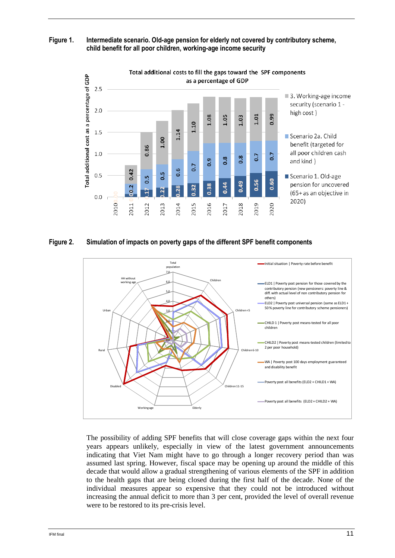**Figure 1. Intermediate scenario. Old-age pension for elderly not covered by contributory scheme, child benefit for all poor children, working-age income security** 



#### **Figure 2. Simulation of impacts on poverty gaps of the different SPF benefit components**



The possibility of adding SPF benefits that will close coverage gaps within the next four years appears unlikely, especially in view of the latest government announcements indicating that Viet Nam might have to go through a longer recovery period than was assumed last spring. However, fiscal space may be opening up around the middle of this decade that would allow a gradual strengthening of various elements of the SPF in addition to the health gaps that are being closed during the first half of the decade. None of the individual measures appear so expensive that they could not be introduced without increasing the annual deficit to more than 3 per cent, provided the level of overall revenue were to be restored to its pre-crisis level.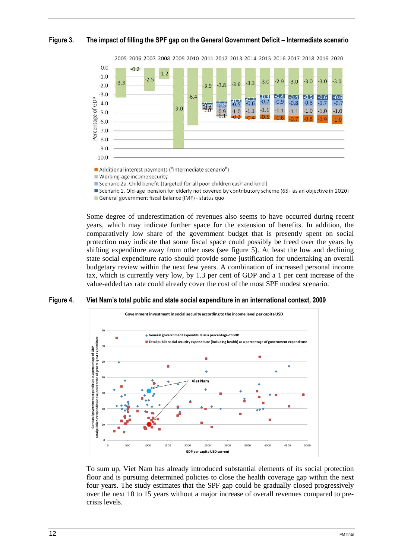### **Figure 3. The impact of filling the SPF gap on the General Government Deficit – Intermediate scenario**



Additional interest payments ("intermediate scenario")

Working-age income security

■ Scenario 2a. Child benefit (targeted for all poor children cash and kind)

■ Scenario 1. Old-age pension for elderly not covered by contributory scheme (65+ as an objective in 2020)

General government fiscal balance (IMF) - status quo

Some degree of underestimation of revenues also seems to have occurred during recent years, which may indicate further space for the extension of benefits. In addition, the comparatively low share of the government budget that is presently spent on social protection may indicate that some fiscal space could possibly be freed over the years by shifting expenditure away from other uses (see figure 5). At least the low and declining state social expenditure ratio should provide some justification for undertaking an overall budgetary review within the next few years. A combination of increased personal income tax, which is currently very low, by 1.3 per cent of GDP and a 1 per cent increase of the value-added tax rate could already cover the cost of the most SPF modest scenario.





To sum up, Viet Nam has already introduced substantial elements of its social protection floor and is pursuing determined policies to close the health coverage gap within the next four years. The study estimates that the SPF gap could be gradually closed progressively over the next 10 to 15 years without a major increase of overall revenues compared to precrisis levels.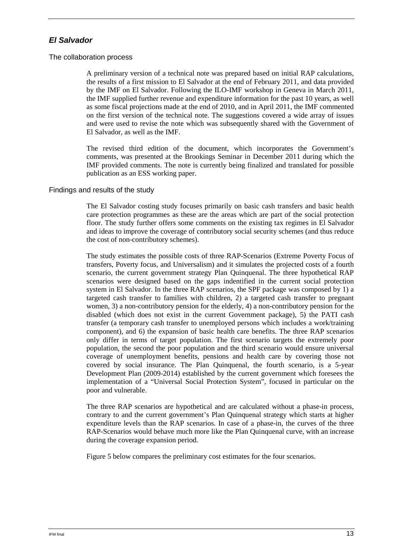### **El Salvador**

#### The collaboration process

A preliminary version of a technical note was prepared based on initial RAP calculations, the results of a first mission to El Salvador at the end of February 2011, and data provided by the IMF on El Salvador. Following the ILO-IMF workshop in Geneva in March 2011, the IMF supplied further revenue and expenditure information for the past 10 years, as well as some fiscal projections made at the end of 2010, and in April 2011, the IMF commented on the first version of the technical note. The suggestions covered a wide array of issues and were used to revise the note which was subsequently shared with the Government of El Salvador, as well as the IMF.

The revised third edition of the document, which incorporates the Government's comments, was presented at the Brookings Seminar in December 2011 during which the IMF provided comments. The note is currently being finalized and translated for possible publication as an ESS working paper.

### Findings and results of the study

The El Salvador costing study focuses primarily on basic cash transfers and basic health care protection programmes as these are the areas which are part of the social protection floor. The study further offers some comments on the existing tax regimes in El Salvador and ideas to improve the coverage of contributory social security schemes (and thus reduce the cost of non-contributory schemes).

The study estimates the possible costs of three RAP-Scenarios (Extreme Poverty Focus of transfers, Poverty focus, and Universalism) and it simulates the projected costs of a fourth scenario, the current government strategy Plan Quinquenal. The three hypothetical RAP scenarios were designed based on the gaps indentified in the current social protection system in El Salvador. In the three RAP scenarios, the SPF package was composed by 1) a targeted cash transfer to families with children, 2) a targeted cash transfer to pregnant women, 3) a non-contributory pension for the elderly, 4) a non-contributory pension for the disabled (which does not exist in the current Government package), 5) the PATI cash transfer (a temporary cash transfer to unemployed persons which includes a work/training component), and 6) the expansion of basic health care benefits. The three RAP scenarios only differ in terms of target population. The first scenario targets the extremely poor population, the second the poor population and the third scenario would ensure universal coverage of unemployment benefits, pensions and health care by covering those not covered by social insurance. The Plan Quinquenal, the fourth scenario, is a 5-year Development Plan (2009-2014) established by the current government which foresees the implementation of a "Universal Social Protection System", focused in particular on the poor and vulnerable.

The three RAP scenarios are hypothetical and are calculated without a phase-in process, contrary to and the current government's Plan Quinquenal strategy which starts at higher expenditure levels than the RAP scenarios. In case of a phase-in, the curves of the three RAP-Scenarios would behave much more like the Plan Quinquenal curve, with an increase during the coverage expansion period.

Figure 5 below compares the preliminary cost estimates for the four scenarios.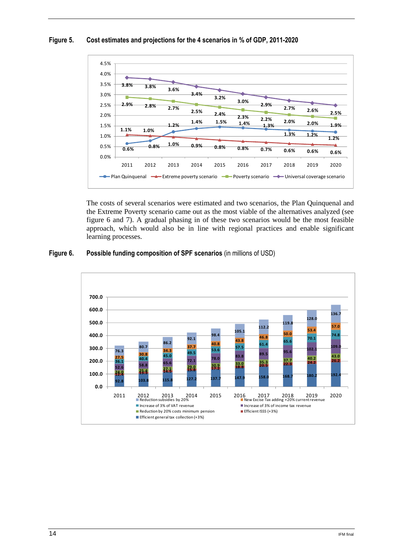#### **Figure 5. Cost estimates and projections for the 4 scenarios in % of GDP, 2011-2020**



The costs of several scenarios were estimated and two scenarios, the Plan Quinquenal and the Extreme Poverty scenario came out as the most viable of the alternatives analyzed (see figure 6 and 7). A gradual phasing in of these two scenarios would be the most feasible approach, which would also be in line with regional practices and enable significant learning processes.

### **Figure 6. Possible funding composition of SPF scenarios** (in millions of USD)

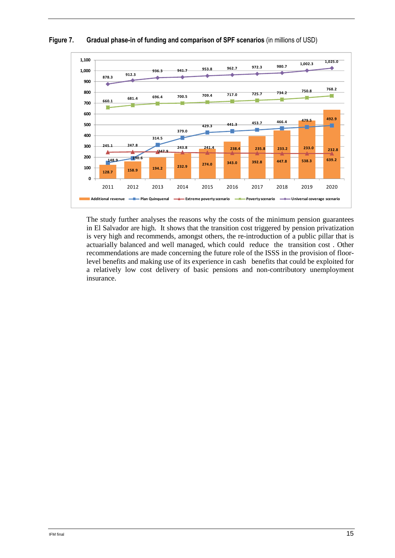

### **Figure 7. Gradual phase-in of funding and comparison of SPF scenarios** (in millions of USD)

The study further analyses the reasons why the costs of the minimum pension guarantees in El Salvador are high. It shows that the transition cost triggered by pension privatization is very high and recommends, amongst others, the re-introduction of a public pillar that is actuarially balanced and well managed, which could reduce the transition cost . Other recommendations are made concerning the future role of the ISSS in the provision of floorlevel benefits and making use of its experience in cash benefits that could be exploited for a relatively low cost delivery of basic pensions and non-contributory unemployment insurance.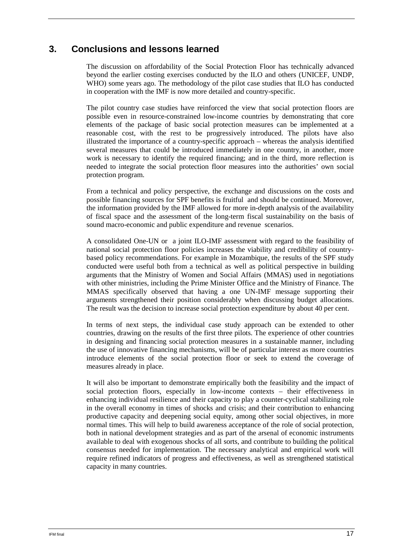# **3. Conclusions and lessons learned**

The discussion on affordability of the Social Protection Floor has technically advanced beyond the earlier costing exercises conducted by the ILO and others (UNICEF, UNDP, WHO) some years ago. The methodology of the pilot case studies that ILO has conducted in cooperation with the IMF is now more detailed and country-specific.

The pilot country case studies have reinforced the view that social protection floors are possible even in resource-constrained low-income countries by demonstrating that core elements of the package of basic social protection measures can be implemented at a reasonable cost, with the rest to be progressively introduced. The pilots have also illustrated the importance of a country-specific approach – whereas the analysis identified several measures that could be introduced immediately in one country, in another, more work is necessary to identify the required financing; and in the third, more reflection is needed to integrate the social protection floor measures into the authorities' own social protection program.

From a technical and policy perspective, the exchange and discussions on the costs and possible financing sources for SPF benefits is fruitful and should be continued. Moreover, the information provided by the IMF allowed for more in-depth analysis of the availability of fiscal space and the assessment of the long-term fiscal sustainability on the basis of sound macro-economic and public expenditure and revenue scenarios.

A consolidated One-UN or a joint ILO-IMF assessment with regard to the feasibility of national social protection floor policies increases the viability and credibility of countrybased policy recommendations. For example in Mozambique, the results of the SPF study conducted were useful both from a technical as well as political perspective in building arguments that the Ministry of Women and Social Affairs (MMAS) used in negotiations with other ministries, including the Prime Minister Office and the Ministry of Finance. The MMAS specifically observed that having a one UN-IMF message supporting their arguments strengthened their position considerably when discussing budget allocations. The result was the decision to increase social protection expenditure by about 40 per cent.

In terms of next steps, the individual case study approach can be extended to other countries, drawing on the results of the first three pilots. The experience of other countries in designing and financing social protection measures in a sustainable manner, including the use of innovative financing mechanisms, will be of particular interest as more countries introduce elements of the social protection floor or seek to extend the coverage of measures already in place.

It will also be important to demonstrate empirically both the feasibility and the impact of social protection floors, especially in low-income contexts – their effectiveness in enhancing individual resilience and their capacity to play a counter-cyclical stabilizing role in the overall economy in times of shocks and crisis; and their contribution to enhancing productive capacity and deepening social equity, among other social objectives, in more normal times. This will help to build awareness acceptance of the role of social protection, both in national development strategies and as part of the arsenal of economic instruments available to deal with exogenous shocks of all sorts, and contribute to building the political consensus needed for implementation. The necessary analytical and empirical work will require refined indicators of progress and effectiveness, as well as strengthened statistical capacity in many countries.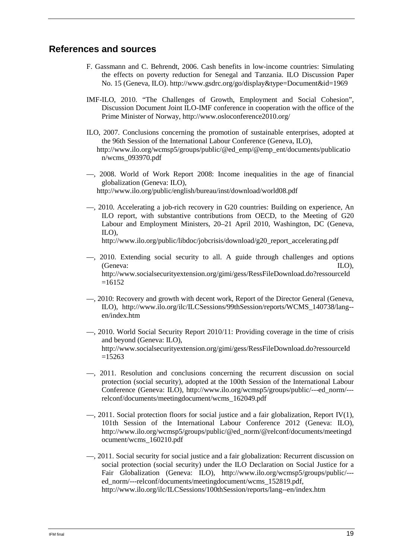## **References and sources**

- F. Gassmann and C. Behrendt, 2006. Cash benefits in low-income countries: Simulating the effects on poverty reduction for Senegal and Tanzania. ILO Discussion Paper No. 15 (Geneva, ILO). http://www.gsdrc.org/go/display&type=Document&id=1969
- IMF-ILO, 2010. "The Challenges of Growth, Employment and Social Cohesion", Discussion Document Joint ILO-IMF conference in cooperation with the office of the Prime Minister of Norway, http://www.osloconference2010.org/
- ILO, 2007. Conclusions concerning the promotion of sustainable enterprises, adopted at the 96th Session of the International Labour Conference (Geneva, ILO), http://www.ilo.org/wcmsp5/groups/public/@ed\_emp/@emp\_ent/documents/publicatio n/wcms\_093970.pdf
- —, 2008. World of Work Report 2008: Income inequalities in the age of financial globalization (Geneva: ILO), http://www.ilo.org/public/english/bureau/inst/download/world08.pdf
- —, 2010. Accelerating a job-rich recovery in G20 countries: Building on experience, An ILO report, with substantive contributions from OECD, to the Meeting of G20 Labour and Employment Ministers, 20–21 April 2010, Washington, DC (Geneva, ILO), http://www.ilo.org/public/libdoc/jobcrisis/download/g20\_report\_accelerating.pdf
- —, 2010. Extending social security to all. A guide through challenges and options (Geneva: ILO), http://www.socialsecurityextension.org/gimi/gess/RessFileDownload.do?ressourceId  $=16152$
- —, 2010: Recovery and growth with decent work, Report of the Director General (Geneva, ILO), http://www.ilo.org/ilc/ILCSessions/99thSession/reports/WCMS\_140738/lang- en/index.htm
- —, 2010. World Social Security Report 2010/11: Providing coverage in the time of crisis and beyond (Geneva: ILO), http://www.socialsecurityextension.org/gimi/gess/RessFileDownload.do?ressourceId  $=15263$
- —, 2011. Resolution and conclusions concerning the recurrent discussion on social protection (social security), adopted at the 100th Session of the International Labour Conference (Geneva: ILO), http://www.ilo.org/wcmsp5/groups/public/---ed\_norm/-- relconf/documents/meetingdocument/wcms\_162049.pdf
- —, 2011. Social protection floors for social justice and a fair globalization, Report IV(1), 101th Session of the International Labour Conference 2012 (Geneva: ILO), http://www.ilo.org/wcmsp5/groups/public/@ed\_norm/@relconf/documents/meetingd ocument/wcms\_160210.pdf
- —, 2011. Social security for social justice and a fair globalization: Recurrent discussion on social protection (social security) under the ILO Declaration on Social Justice for a Fair Globalization (Geneva: ILO), http://www.ilo.org/wcmsp5/groups/public/-- ed\_norm/---relconf/documents/meetingdocument/wcms\_152819.pdf, http://www.ilo.org/ilc/ILCSessions/100thSession/reports/lang--en/index.htm